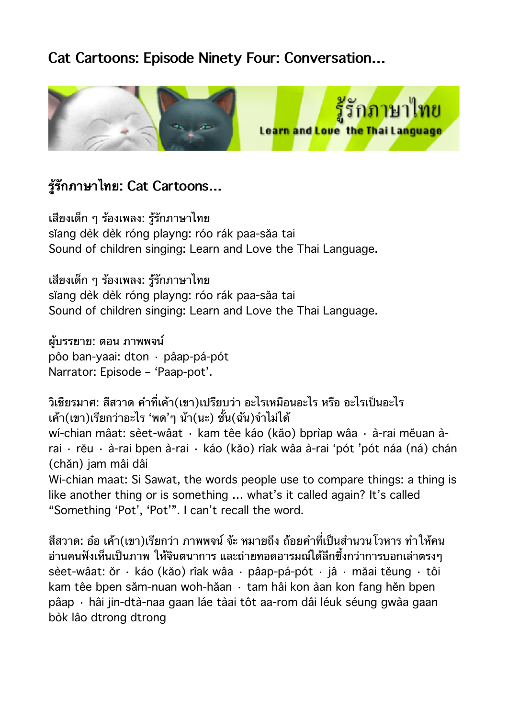# **Cat Cartoons: Episode Ninety Four: Conversation…**



# **รรกภาษาไทย: Cat Cartoons…**

เสยงเดก ๆ รองเพลง: รรกภาษาไทย sĭang dèk dèk róng playng: róo rák paa-săa tai Sound of children singing: Learn and Love the Thai Language.

เสยงเดก ๆ รองเพลง: รรกภาษาไทย sĭang dèk dèk róng playng: róo rák paa-săa tai Sound of children singing: Learn and Love the Thai Language.

ผบรรยาย: ตอน ภาพพจน pôo ban-yaai: dton · pâap-pá-pót Narrator: Episode – 'Paap-pot'.

้วิเชียรมาศ: สีสวาด คำที่เค้า(เขา)เปรียบว่า อะไรเหมือนอะไร หรือ อะไรเป็นอะไร เค้า(เขา)เรียกว่าอะไร 'พด'ๆ น้า(นะ) ชั้น(ฉัน)จำไม่ได้ wí-chian mâat: sèet-wâat · kam têe káo (kăo) bprìap wâa · à-rai mĕuan àrai · rĕu · à-rai bpen à-rai · káo (kăo) rîak wâa à-rai 'pót 'pót náa (ná) chán (chăn) jam mâi dâi Wi-chian maat: Si Sawat, the words people use to compare things: a thing is like another thing or is something … what's it called again? It's called "Something 'Pot', 'Pot'". I can't recall the word.

สีสวาด: อ๋อ เค้า(เขา)เรียกว่า ภาพพจน์ จ้ะ หมายถึง ถ้อยคำที่เป็นสำนวนโวหาร ทำให้คน อ่านคนฟังเห็นเป็นภาพ ให้จินตนาการ และถ่ายทอดอารมณ์ใด้ลึกซึ้งกว่าการบอกเล่าตรงๆ sèet-wâat: ŏr · káo (kăo) rîak wâa · pâap-pá-pót · jâ · măai tĕung · tôi kam têe bpen săm-nuan woh-hăan · tam hâi kon àan kon fang hĕn bpen pâap · hâi jin-dtà-naa gaan láe tàai tôt aa-rom dâi léuk séung gwàa gaan bòk lâo dtrong dtrong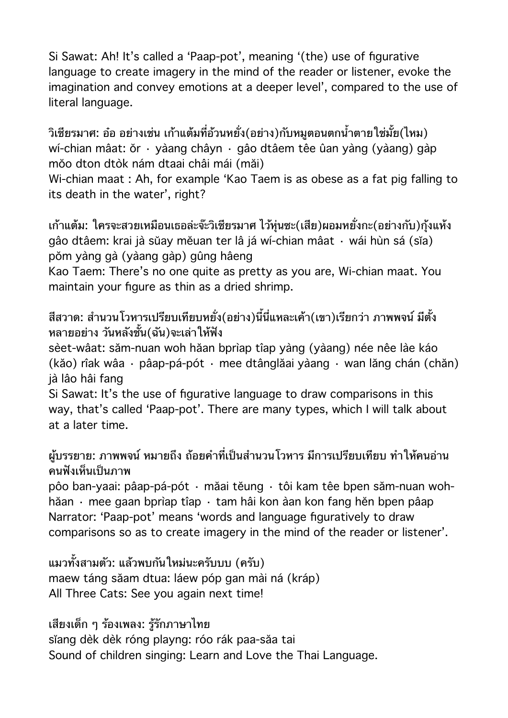Si Sawat: Ah! It's called a 'Paap-pot', meaning '(the) use of figurative language to create imagery in the mind of the reader or listener, evoke the imagination and convey emotions at a deeper level', compared to the use of literal language.

้วิเชียรมาศ: อ๋อ อย่างเช่น เก้าแต้มที่อ้วนหยั่ง(อย่าง)กับหมูตอนตกน้ำตายใช่มั้ย(ไหม) wí-chian mâat: ŏr · yàang châyn · gâo dtâem têe ûan yàng (yàang) gàp mŏo dton dtòk nám dtaai châi mái (măi)

Wi-chian maat : Ah, for example 'Kao Taem is as obese as a fat pig falling to its death in the water', right?

้เก้าแต้ม: ใครจะสวยเหมือนเธอล่ะจ๊ะวิเชียรมาศ ไว้หุ่นซะ(เสีย)ผอมหยั่งกะ(อย่างกับ)กุ้งแห้ง gâo dtâem: krai jà sŭay mĕuan ter lâ já wí-chian mâat · wái hùn sá (sĭa) pŏm yàng gà (yàang gàp) gûng hâeng

Kao Taem: There's no one quite as pretty as you are, Wi-chian maat. You maintain your figure as thin as a dried shrimp.

### สีสวาด: สำนวนโวหารเปรียบเทียบหยั่ง(อย่าง)นี้นี่แหละเค้า(เขา)เรียกว่า ภาพพจน์ มีตั้ง หลายอยาง วนหลงชน(ฉน)จะเลาใหฟง

sèet-wâat: săm-nuan woh hăan bprìap tîap yàng (yàang) née nêe làe káo (kăo) rîak wâa · pâap-pá-pót · mee dtânglăai yàang · wan lăng chán (chăn) jà lâo hâi fang

Si Sawat: It's the use of figurative language to draw comparisons in this way, that's called 'Paap-pot'. There are many types, which I will talk about at a later time.

#### ผับรรยาย: ภาพพจน์ หมายถึง ถ้อยคำที่เป็นสำนวนโวหาร มีการเปรียบเทียบ ทำให้คนอ่าน คนฟังเห็นเป็นภาพ

pôo ban-yaai: pâap-pá-pót · măai tĕung · tôi kam têe bpen săm-nuan wohhăan · mee gaan bprìap tîap · tam hâi kon àan kon fang hěn bpen pâap Narrator: 'Paap-pot' means 'words and language figuratively to draw comparisons so as to create imagery in the mind of the reader or listener'.

แมวทั้งสามตัว: แล้วพบกันใหม่นะครับบบ (ครับ) maew táng săam dtua: láew póp gan mài ná (kráp) All Three Cats: See you again next time!

เสยงเดก ๆ รองเพลง: รรกภาษาไทย

sĭang dèk dèk róng playng: róo rák paa-săa tai Sound of children singing: Learn and Love the Thai Language.